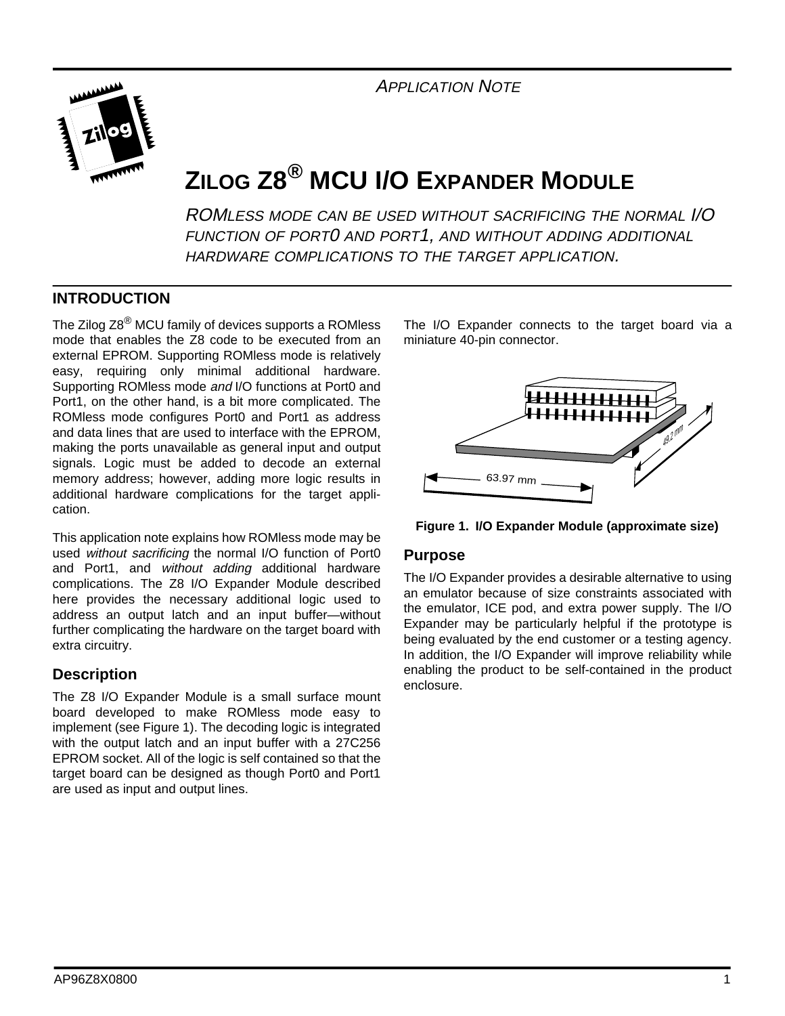APPLICATION NOTE



# **ZILOG Z8® MCU I/O EXPANDER MODULE**

ROMLESS MODE CAN BE USED WITHOUT SACRIFICING THE NORMAL I/O FUNCTION OF PORT0 AND PORT1, AND WITHOUT ADDING ADDITIONAL HARDWARE COMPLICATIONS TO THE TARGET APPLICATION.

### **INTRODUCTION**

The Zilog Z8<sup>®</sup> MCU family of devices supports a ROMless mode that enables the Z8 code to be executed from an external EPROM. Supporting ROMless mode is relatively easy, requiring only minimal additional hardware. Supporting ROMless mode and I/O functions at Port0 and Port1, on the other hand, is a bit more complicated. The ROMless mode configures Port0 and Port1 as address and data lines that are used to interface with the EPROM, making the ports unavailable as general input and output signals. Logic must be added to decode an external memory address; however, adding more logic results in additional hardware complications for the target application.

This application note explains how ROMless mode may be used without sacrificing the normal I/O function of Port0 and Port1, and without adding additional hardware complications. The Z8 I/O Expander Module described here provides the necessary additional logic used to address an output latch and an input buffer—without further complicating the hardware on the target board with extra circuitry.

#### **Description**

The Z8 I/O Expander Module is a small surface mount board developed to make ROMless mode easy to implement (see Figure 1). The decoding logic is integrated with the output latch and an input buffer with a 27C256 EPROM socket. All of the logic is self contained so that the target board can be designed as though Port0 and Port1 are used as input and output lines.

The I/O Expander connects to the target board via a miniature 40-pin connector.



**Figure 1. I/O Expander Module (approximate size)**

#### **Purpose**

The I/O Expander provides a desirable alternative to using an emulator because of size constraints associated with the emulator, ICE pod, and extra power supply. The I/O Expander may be particularly helpful if the prototype is being evaluated by the end customer or a testing agency. In addition, the I/O Expander will improve reliability while enabling the product to be self-contained in the product enclosure.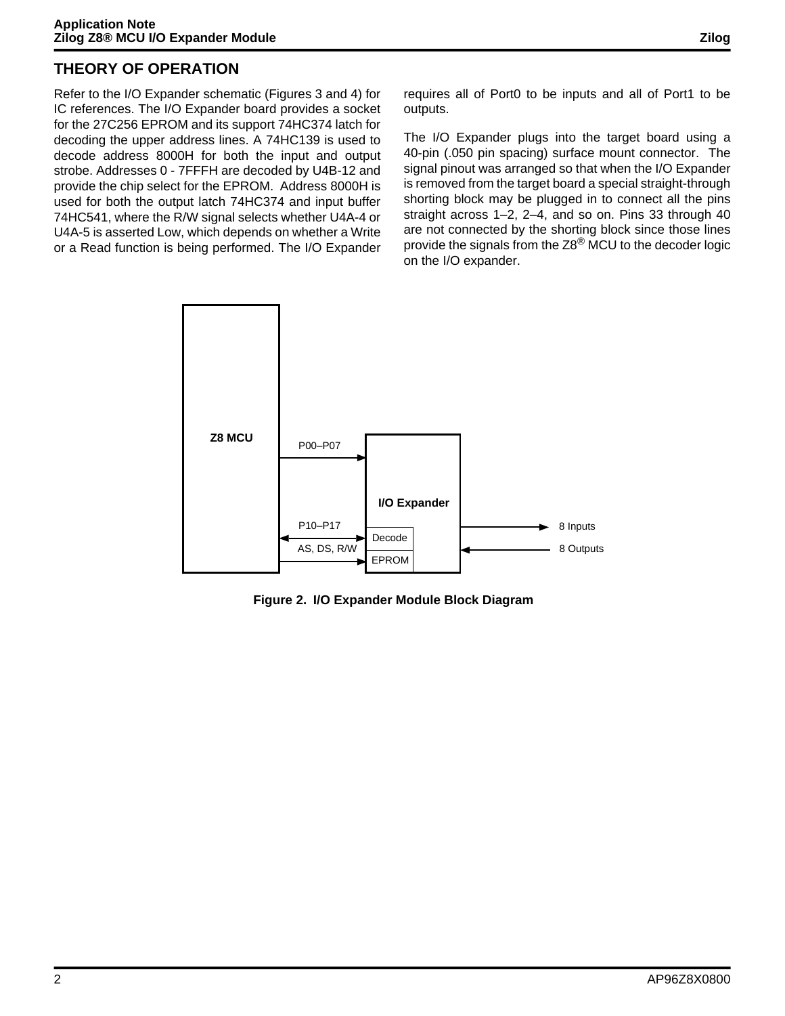# **THEORY OF OPERATION**

Refer to the I/O Expander schematic (Figures 3 and 4) for IC references. The I/O Expander board provides a socket for the 27C256 EPROM and its support 74HC374 latch for decoding the upper address lines. A 74HC139 is used to decode address 8000H for both the input and output strobe. Addresses 0 - 7FFFH are decoded by U4B-12 and provide the chip select for the EPROM. Address 8000H is used for both the output latch 74HC374 and input buffer 74HC541, where the R/W signal selects whether U4A-4 or U4A-5 is asserted Low, which depends on whether a Write or a Read function is being performed. The I/O Expander requires all of Port0 to be inputs and all of Port1 to be outputs.

The I/O Expander plugs into the target board using a 40-pin (.050 pin spacing) surface mount connector. The signal pinout was arranged so that when the I/O Expander is removed from the target board a special straight-through shorting block may be plugged in to connect all the pins straight across 1–2, 2–4, and so on. Pins 33 through 40 are not connected by the shorting block since those lines provide the signals from the Z8<sup>®</sup> MCU to the decoder logic on the I/O expander.



**Figure 2. I/O Expander Module Block Diagram**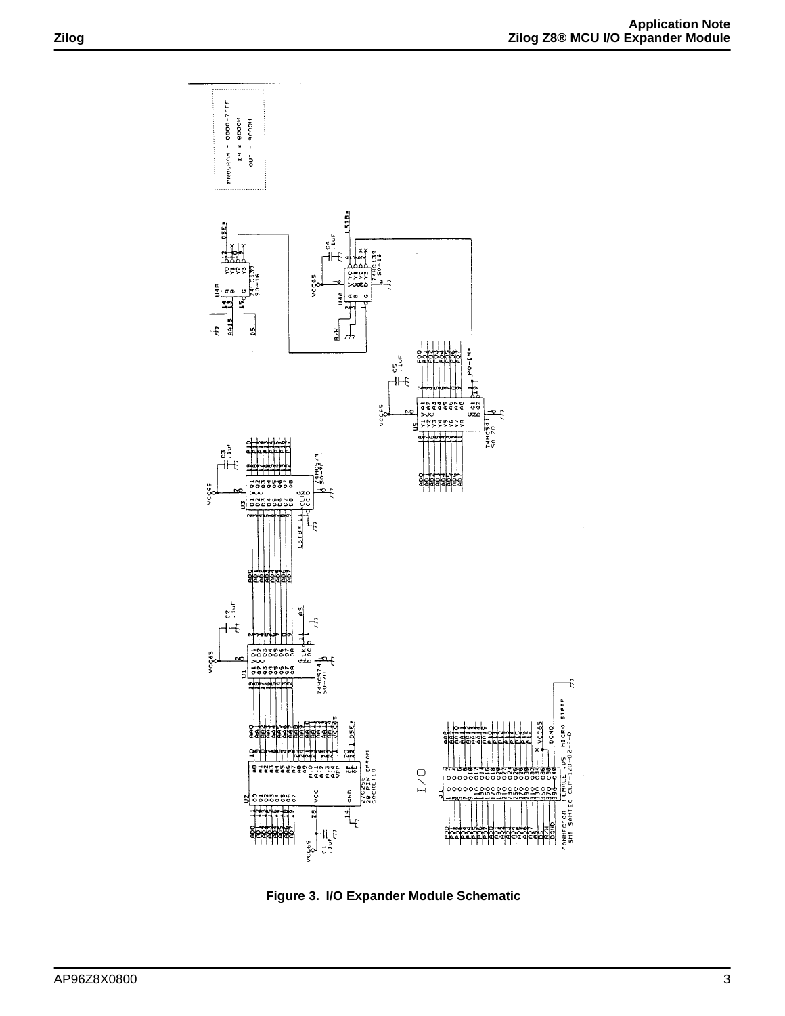

**Figure 3. I/O Expander Module Schematic**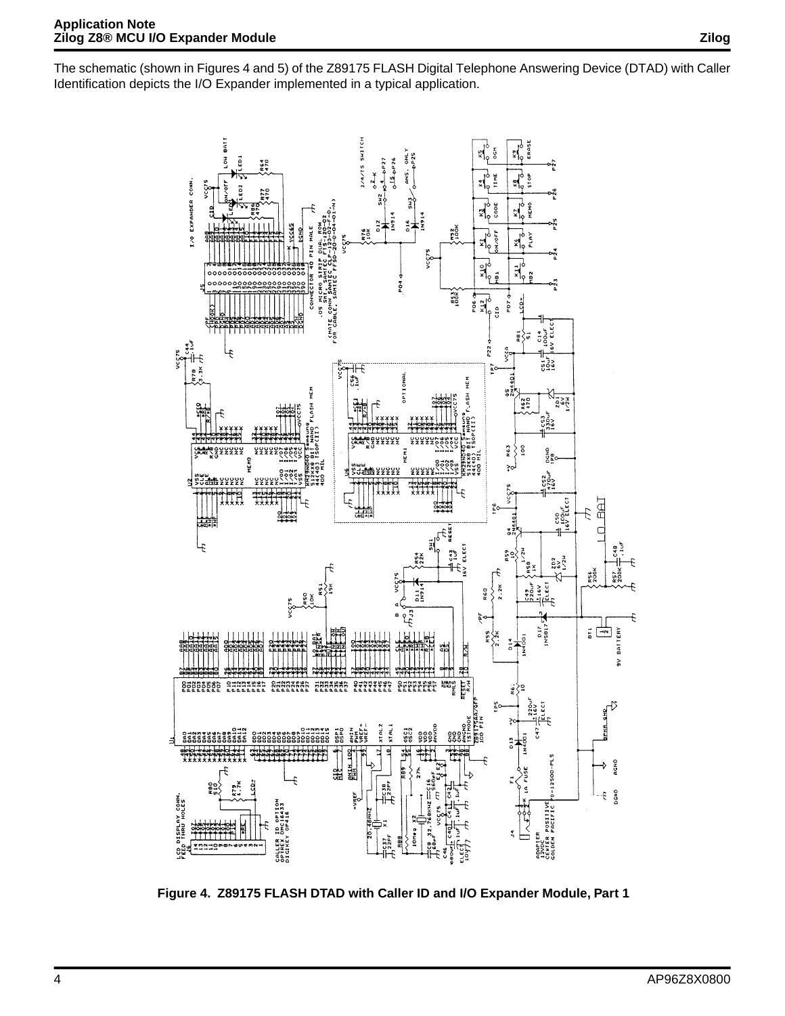The schematic (shown in Figures 4 and 5) of the Z89175 FLASH Digital Telephone Answering Device (DTAD) with Caller Identification depicts the I/O Expander implemented in a typical application.



**Figure 4. Z89175 FLASH DTAD with Caller ID and I/O Expander Module, Part 1**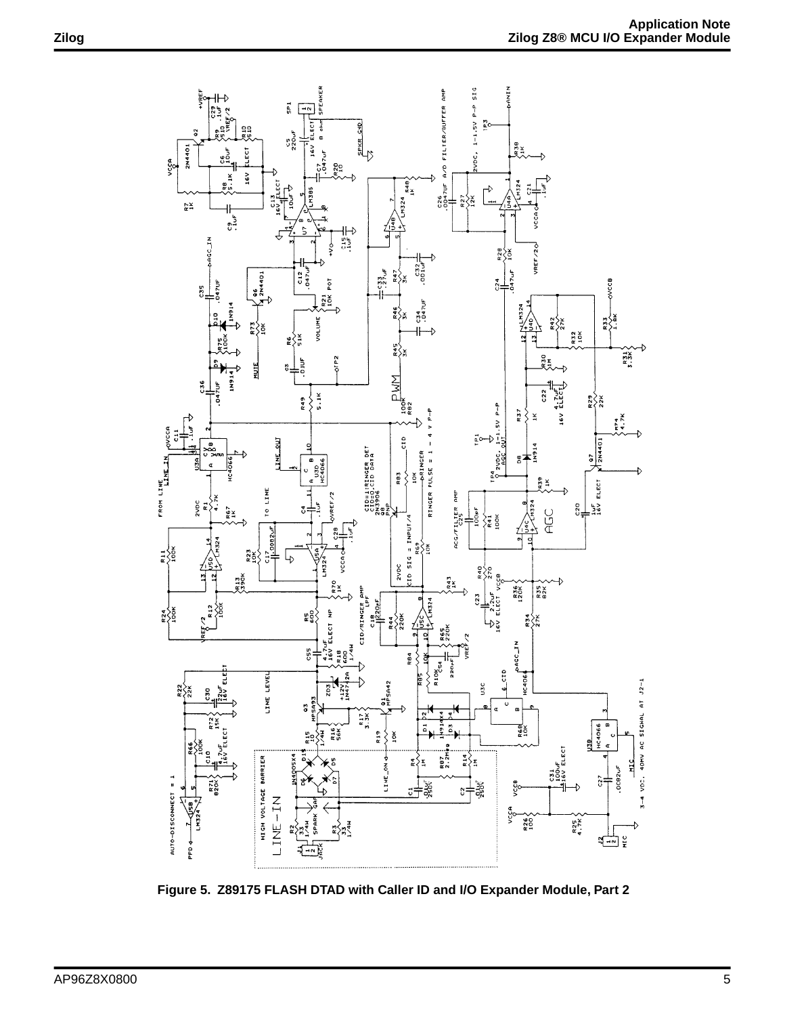

**Figure 5. Z89175 FLASH DTAD with Caller ID and I/O Expander Module, Part 2**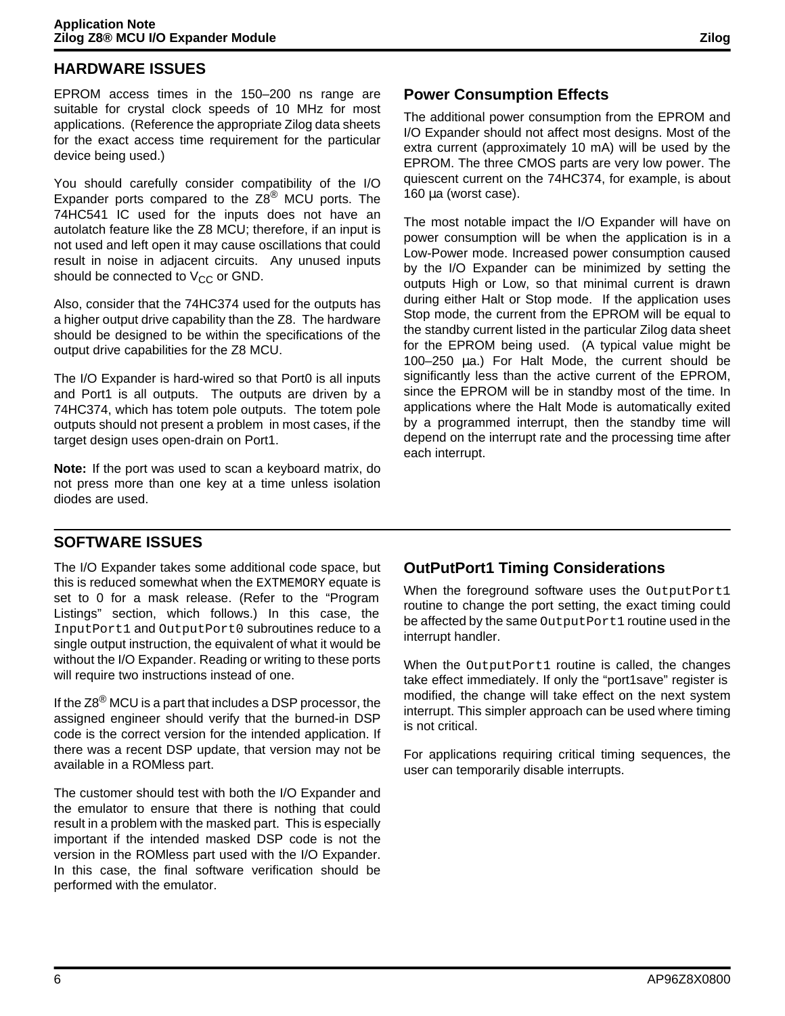# **HARDWARE ISSUES**

EPROM access times in the 150–200 ns range are suitable for crystal clock speeds of 10 MHz for most applications. (Reference the appropriate Zilog data sheets for the exact access time requirement for the particular device being used.)

You should carefully consider compatibility of the I/O Expander ports compared to the  $Z8^{\circledR}$  MCU ports. The 74HC541 IC used for the inputs does not have an autolatch feature like the Z8 MCU; therefore, if an input is not used and left open it may cause oscillations that could result in noise in adjacent circuits. Any unused inputs should be connected to  $V_{CC}$  or GND.

Also, consider that the 74HC374 used for the outputs has a higher output drive capability than the Z8. The hardware should be designed to be within the specifications of the output drive capabilities for the Z8 MCU.

The I/O Expander is hard-wired so that Port0 is all inputs and Port1 is all outputs. The outputs are driven by a 74HC374, which has totem pole outputs. The totem pole outputs should not present a problem in most cases, if the target design uses open-drain on Port1.

**Note:** If the port was used to scan a keyboard matrix, do not press more than one key at a time unless isolation diodes are used.

# **Power Consumption Effects**

The additional power consumption from the EPROM and I/O Expander should not affect most designs. Most of the extra current (approximately 10 mA) will be used by the EPROM. The three CMOS parts are very low power. The quiescent current on the 74HC374, for example, is about 160 µa (worst case).

The most notable impact the I/O Expander will have on power consumption will be when the application is in a Low-Power mode. Increased power consumption caused by the I/O Expander can be minimized by setting the outputs High or Low, so that minimal current is drawn during either Halt or Stop mode. If the application uses Stop mode, the current from the EPROM will be equal to the standby current listed in the particular Zilog data sheet for the EPROM being used. (A typical value might be 100–250 µa.) For Halt Mode, the current should be significantly less than the active current of the EPROM, since the EPROM will be in standby most of the time. In applications where the Halt Mode is automatically exited by a programmed interrupt, then the standby time will depend on the interrupt rate and the processing time after each interrupt.

# **SOFTWARE ISSUES**

The I/O Expander takes some additional code space, but this is reduced somewhat when the EXTMEMORY equate is set to 0 for a mask release. (Refer to the "Program Listings" section, which follows.) In this case, the InputPort1 and OutputPort0 subroutines reduce to a single output instruction, the equivalent of what it would be without the I/O Expander. Reading or writing to these ports will require two instructions instead of one.

If the Z8<sup>®</sup> MCU is a part that includes a DSP processor, the assigned engineer should verify that the burned-in DSP code is the correct version for the intended application. If there was a recent DSP update, that version may not be available in a ROMless part.

The customer should test with both the I/O Expander and the emulator to ensure that there is nothing that could result in a problem with the masked part. This is especially important if the intended masked DSP code is not the version in the ROMless part used with the I/O Expander. In this case, the final software verification should be performed with the emulator.

# **OutPutPort1 Timing Considerations**

When the foreground software uses the OutputPort1 routine to change the port setting, the exact timing could be affected by the same OutputPort1 routine used in the interrupt handler.

When the OutputPort1 routine is called, the changes take effect immediately. If only the "port1save" register is modified, the change will take effect on the next system interrupt. This simpler approach can be used where timing is not critical.

For applications requiring critical timing sequences, the user can temporarily disable interrupts.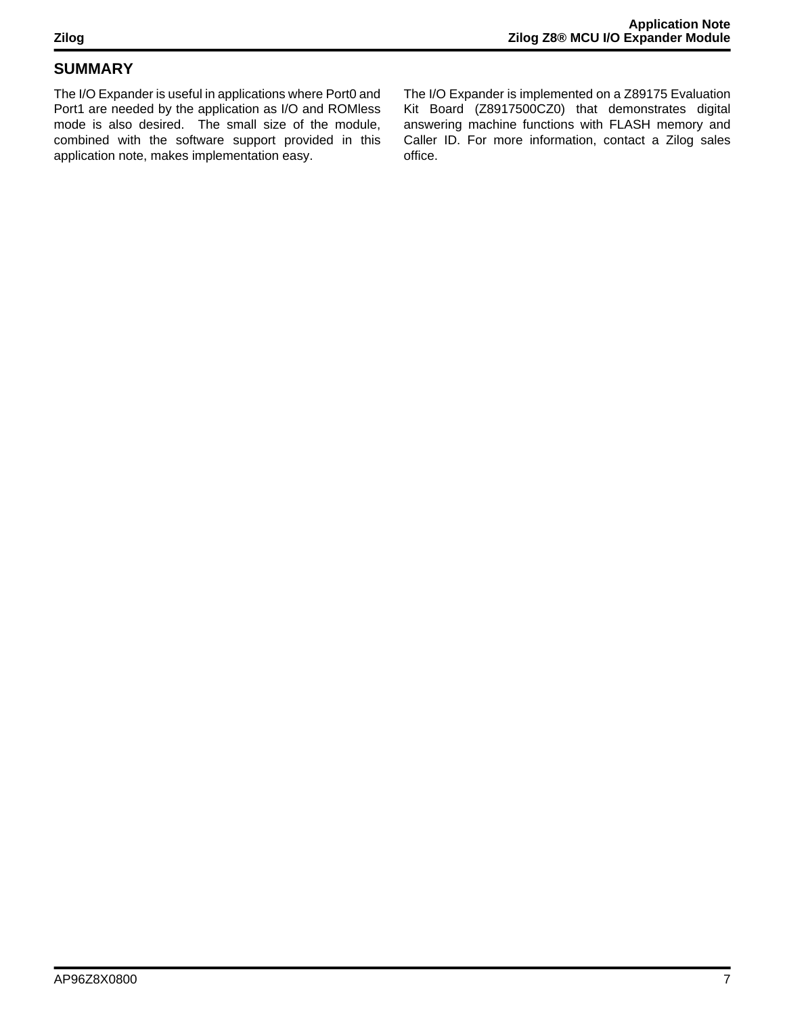# **SUMMARY**

The I/O Expander is useful in applications where Port0 and Port1 are needed by the application as I/O and ROMless mode is also desired. The small size of the module, combined with the software support provided in this application note, makes implementation easy.

The I/O Expander is implemented on a Z89175 Evaluation Kit Board (Z8917500CZ0) that demonstrates digital answering machine functions with FLASH memory and Caller ID. For more information, contact a Zilog sales office.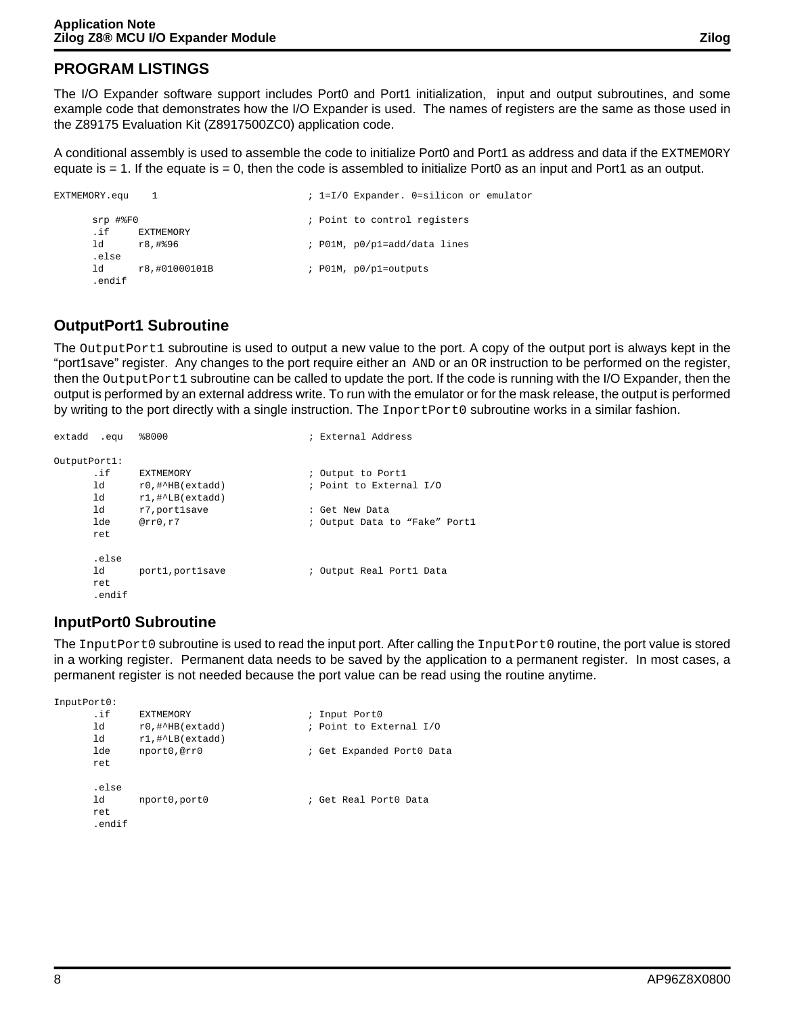# **PROGRAM LISTINGS**

The I/O Expander software support includes Port0 and Port1 initialization, input and output subroutines, and some example code that demonstrates how the I/O Expander is used. The names of registers are the same as those used in the Z89175 Evaluation Kit (Z8917500ZC0) application code.

A conditional assembly is used to assemble the code to initialize Port0 and Port1 as address and data if the EXTMEMORY equate is  $= 1$ . If the equate is  $= 0$ , then the code is assembled to initialize Port0 as an input and Port1 as an output.

```
EXTMEMORY.equ 1 \qquad ; 1=I/O Expander. 0=silicon or emulator
    srp #%F0 \qquad \qquad ; Point to control registers
    .if EXTMEMORY
    ld r8,#%96 ; P01M, p0/p1=add/data lines
    .else
    ld r8,#01000101B ; P01M, p0/p1=outputs
    .endif
```
# **OutputPort1 Subroutine**

The OutputPort1 subroutine is used to output a new value to the port. A copy of the output port is always kept in the "port1save" register. Any changes to the port require either an AND or an OR instruction to be performed on the register, then the OutputPort1 subroutine can be called to update the port. If the code is running with the I/O Expander, then the output is performed by an external address write. To run with the emulator or for the mask release, the output is performed by writing to the port directly with a single instruction. The InportPort0 subroutine works in a similar fashion.

```
extadd .equ %8000 ; External Address
OutputPort1:
           EXTMEMORY \qquad \qquad ; Output to Port1
    ld r0,#^HB(extadd) ; Point to External I/O
     ld r1,#^LB(extadd)
     ld r7,port1save : Get New Data
     lde @rr0,r7 \qquad \qquad ; Output Data to "Fake" Port1
     ret 
     .else
     ld port1, port1save : 0utput Real Port1 Data
     ret
     .endif
```
# **InputPort0 Subroutine**

The InputPort0 subroutine is used to read the input port. After calling the InputPort0 routine, the port value is stored in a working register. Permanent data needs to be saved by the application to a permanent register. In most cases, a permanent register is not needed because the port value can be read using the routine anytime.

```
InputPort0:
     .if EXTMEMORY ; Input Port0 
     ld r0,#^HB(extadd) ; Point to External I/O<br>ld r1 #^LB(extadd)
           r1,#^LB(extadd)
     lde nport0,@rr0 ; Get Expanded Port0 Data
     ret 
     .else
     ld nport0,port0 ; Get Real Port0 Data
     ret
     .endif
```